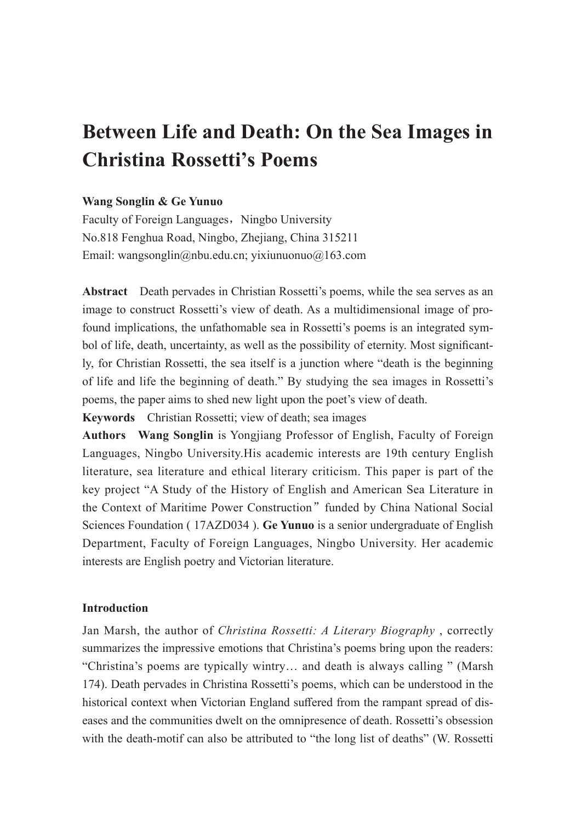# **Between Life and Death: On the Sea Images in Christina Rossetti's Poems**

## **Wang Songlin & Ge Yunuo**

Faculty of Foreign Languages, Ningbo University No.818 Fenghua Road, Ningbo, Zhejiang, China 315211 Email: wangsonglin@nbu.edu.cn; yixiunuonuo@163.com

**Abstract** Death pervades in Christian Rossetti's poems, while the sea serves as an image to construct Rossetti's view of death. As a multidimensional image of profound implications, the unfathomable sea in Rossetti's poems is an integrated symbol of life, death, uncertainty, as well as the possibility of eternity. Most significantly, for Christian Rossetti, the sea itself is a junction where "death is the beginning of life and life the beginning of death." By studying the sea images in Rossetti's poems, the paper aims to shed new light upon the poet's view of death.

**Keywords** Christian Rossetti; view of death; sea images

**Authors Wang Songlin** is Yongjiang Professor of English, Faculty of Foreign Languages, Ningbo University.His academic interests are 19th century English literature, sea literature and ethical literary criticism. This paper is part of the key project "A Study of the History of English and American Sea Literature in the Context of Maritime Power Construction" funded by China National Social Sciences Foundation ( 17AZD034 ). **Ge Yunuo** is a senior undergraduate of English Department, Faculty of Foreign Languages, Ningbo University. Her academic interests are English poetry and Victorian literature.

#### **Introduction**

Jan Marsh, the author of *Christina Rossetti: A Literary Biography* , correctly summarizes the impressive emotions that Christina's poems bring upon the readers: "Christina's poems are typically wintry… and death is always calling " (Marsh 174). Death pervades in Christina Rossetti's poems, which can be understood in the historical context when Victorian England suffered from the rampant spread of diseases and the communities dwelt on the omnipresence of death. Rossetti's obsession with the death-motif can also be attributed to "the long list of deaths" (W. Rossetti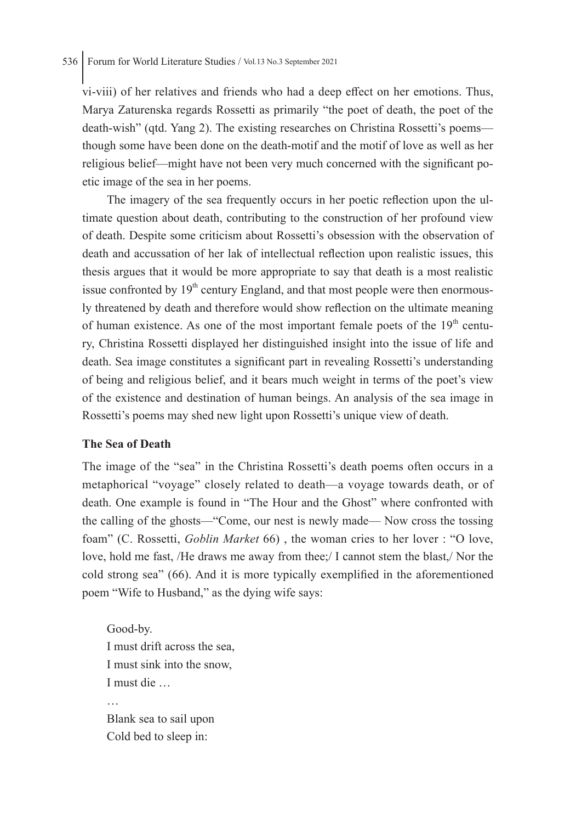vi-viii) of her relatives and friends who had a deep effect on her emotions. Thus, Marya Zaturenska regards Rossetti as primarily "the poet of death, the poet of the death-wish" (qtd. Yang 2). The existing researches on Christina Rossetti's poems though some have been done on the death-motif and the motif of love as well as her religious belief—might have not been very much concerned with the significant poetic image of the sea in her poems.

The imagery of the sea frequently occurs in her poetic reflection upon the ultimate question about death, contributing to the construction of her profound view of death. Despite some criticism about Rossetti's obsession with the observation of death and accussation of her lak of intellectual reflection upon realistic issues, this thesis argues that it would be more appropriate to say that death is a most realistic issue confronted by  $19<sup>th</sup>$  century England, and that most people were then enormously threatened by death and therefore would show reflection on the ultimate meaning of human existence. As one of the most important female poets of the  $19<sup>th</sup>$  century, Christina Rossetti displayed her distinguished insight into the issue of life and death. Sea image constitutes a significant part in revealing Rossetti's understanding of being and religious belief, and it bears much weight in terms of the poet's view of the existence and destination of human beings. An analysis of the sea image in Rossetti's poems may shed new light upon Rossetti's unique view of death.

#### **The Sea of Death**

The image of the "sea" in the Christina Rossetti's death poems often occurs in a metaphorical "voyage" closely related to death—a voyage towards death, or of death. One example is found in "The Hour and the Ghost" where confronted with the calling of the ghosts—"Come, our nest is newly made— Now cross the tossing foam" (C. Rossetti, *Goblin Market* 66) , the woman cries to her lover : "O love, love, hold me fast, /He draws me away from thee;/ I cannot stem the blast,/ Nor the cold strong sea" (66). And it is more typically exemplified in the aforementioned poem "Wife to Husband," as the dying wife says:

Good-by. I must drift across the sea, I must sink into the snow, I must die … … Blank sea to sail upon Cold bed to sleep in: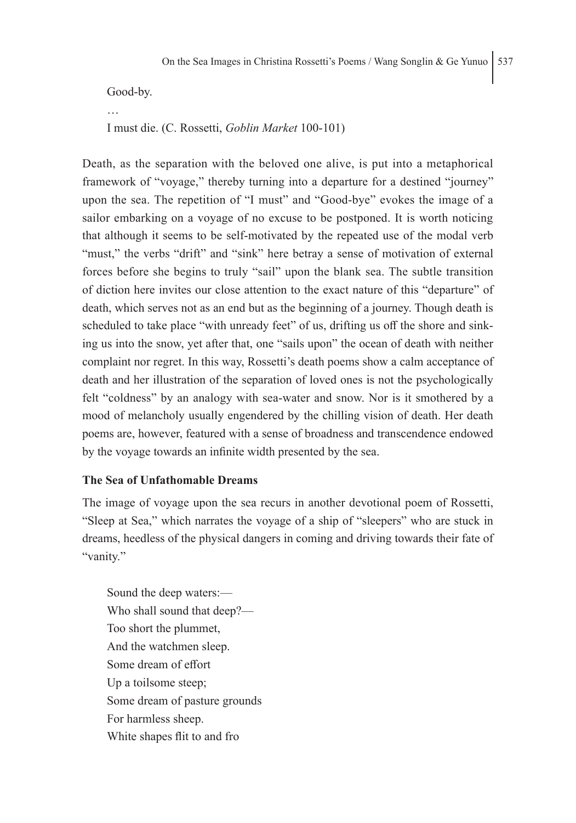Good-by.

… I must die. (C. Rossetti, *Goblin Market* 100-101)

Death, as the separation with the beloved one alive, is put into a metaphorical framework of "voyage," thereby turning into a departure for a destined "journey" upon the sea. The repetition of "I must" and "Good-bye" evokes the image of a sailor embarking on a voyage of no excuse to be postponed. It is worth noticing that although it seems to be self-motivated by the repeated use of the modal verb "must," the verbs "drift" and "sink" here betray a sense of motivation of external forces before she begins to truly "sail" upon the blank sea. The subtle transition of diction here invites our close attention to the exact nature of this "departure" of death, which serves not as an end but as the beginning of a journey. Though death is scheduled to take place "with unready feet" of us, drifting us off the shore and sinking us into the snow, yet after that, one "sails upon" the ocean of death with neither complaint nor regret. In this way, Rossetti's death poems show a calm acceptance of death and her illustration of the separation of loved ones is not the psychologically felt "coldness" by an analogy with sea-water and snow. Nor is it smothered by a mood of melancholy usually engendered by the chilling vision of death. Her death poems are, however, featured with a sense of broadness and transcendence endowed by the voyage towards an infinite width presented by the sea.

#### **The Sea of Unfathomable Dreams**

The image of voyage upon the sea recurs in another devotional poem of Rossetti, "Sleep at Sea," which narrates the voyage of a ship of "sleepers" who are stuck in dreams, heedless of the physical dangers in coming and driving towards their fate of "vanity."

Sound the deep waters:— Who shall sound that deep?— Too short the plummet, And the watchmen sleep. Some dream of effort Up a toilsome steep; Some dream of pasture grounds For harmless sheep. White shapes flit to and fro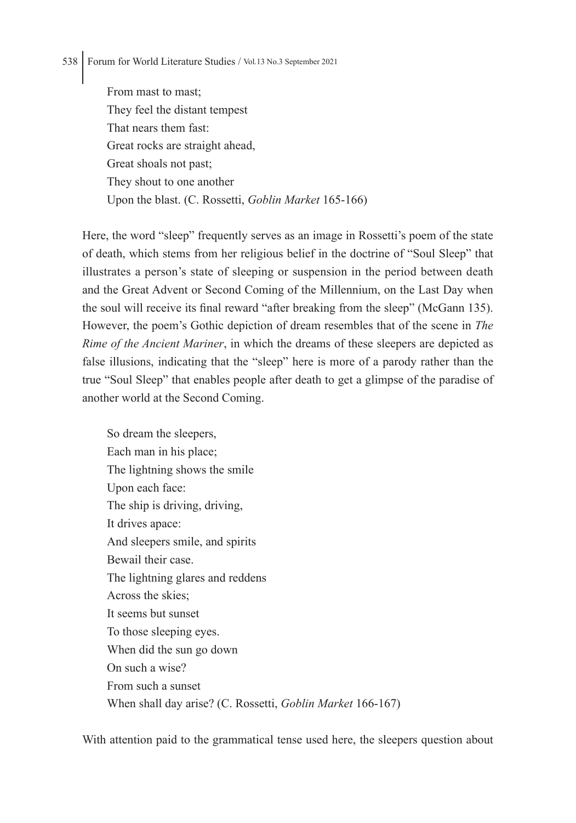From mast to mast; They feel the distant tempest That nears them fast: Great rocks are straight ahead, Great shoals not past; They shout to one another Upon the blast. (C. Rossetti, *Goblin Market* 165-166)

Here, the word "sleep" frequently serves as an image in Rossetti's poem of the state of death, which stems from her religious belief in the doctrine of "Soul Sleep" that illustrates a person's state of sleeping or suspension in the period between death and the Great Advent or Second Coming of the Millennium, on the Last Day when the soul will receive its final reward "after breaking from the sleep" (McGann 135). However, the poem's Gothic depiction of dream resembles that of the scene in *The Rime of the Ancient Mariner*, in which the dreams of these sleepers are depicted as false illusions, indicating that the "sleep" here is more of a parody rather than the true "Soul Sleep" that enables people after death to get a glimpse of the paradise of another world at the Second Coming.

So dream the sleepers, Each man in his place; The lightning shows the smile Upon each face: The ship is driving, driving, It drives apace: And sleepers smile, and spirits Bewail their case. The lightning glares and reddens Across the skies; It seems but sunset To those sleeping eyes. When did the sun go down On such a wise? From such a sunset When shall day arise? (C. Rossetti, *Goblin Market* 166-167)

With attention paid to the grammatical tense used here, the sleepers question about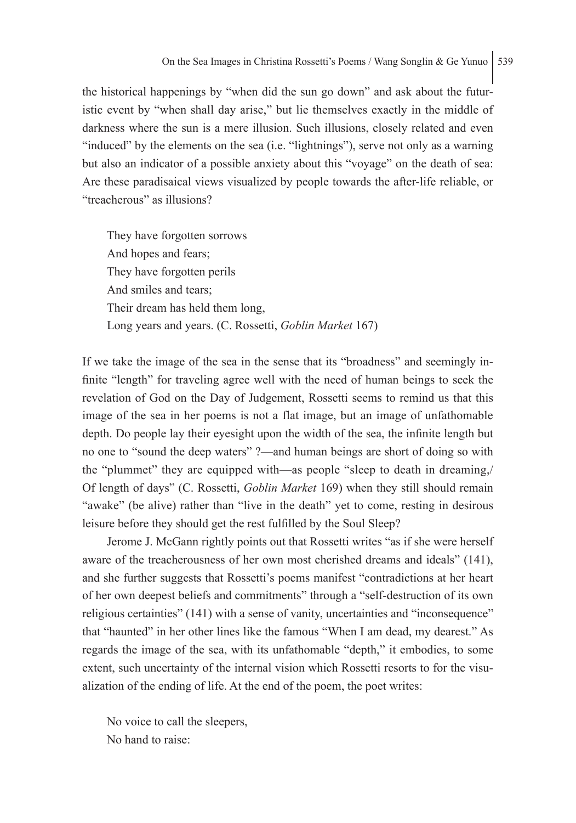the historical happenings by "when did the sun go down" and ask about the futuristic event by "when shall day arise," but lie themselves exactly in the middle of darkness where the sun is a mere illusion. Such illusions, closely related and even "induced" by the elements on the sea (i.e. "lightnings"), serve not only as a warning but also an indicator of a possible anxiety about this "voyage" on the death of sea: Are these paradisaical views visualized by people towards the after-life reliable, or "treacherous" as illusions?

They have forgotten sorrows And hopes and fears; They have forgotten perils And smiles and tears; Their dream has held them long, Long years and years. (C. Rossetti, *Goblin Market* 167)

If we take the image of the sea in the sense that its "broadness" and seemingly infinite "length" for traveling agree well with the need of human beings to seek the revelation of God on the Day of Judgement, Rossetti seems to remind us that this image of the sea in her poems is not a flat image, but an image of unfathomable depth. Do people lay their eyesight upon the width of the sea, the infinite length but no one to "sound the deep waters" ?—and human beings are short of doing so with the "plummet" they are equipped with—as people "sleep to death in dreaming,/ Of length of days" (C. Rossetti, *Goblin Market* 169) when they still should remain "awake" (be alive) rather than "live in the death" yet to come, resting in desirous leisure before they should get the rest fulfilled by the Soul Sleep?

Jerome J. McGann rightly points out that Rossetti writes "as if she were herself aware of the treacherousness of her own most cherished dreams and ideals" (141), and she further suggests that Rossetti's poems manifest "contradictions at her heart of her own deepest beliefs and commitments" through a "self-destruction of its own religious certainties" (141) with a sense of vanity, uncertainties and "inconsequence" that "haunted" in her other lines like the famous "When I am dead, my dearest." As regards the image of the sea, with its unfathomable "depth," it embodies, to some extent, such uncertainty of the internal vision which Rossetti resorts to for the visualization of the ending of life. At the end of the poem, the poet writes:

No voice to call the sleepers, No hand to raise: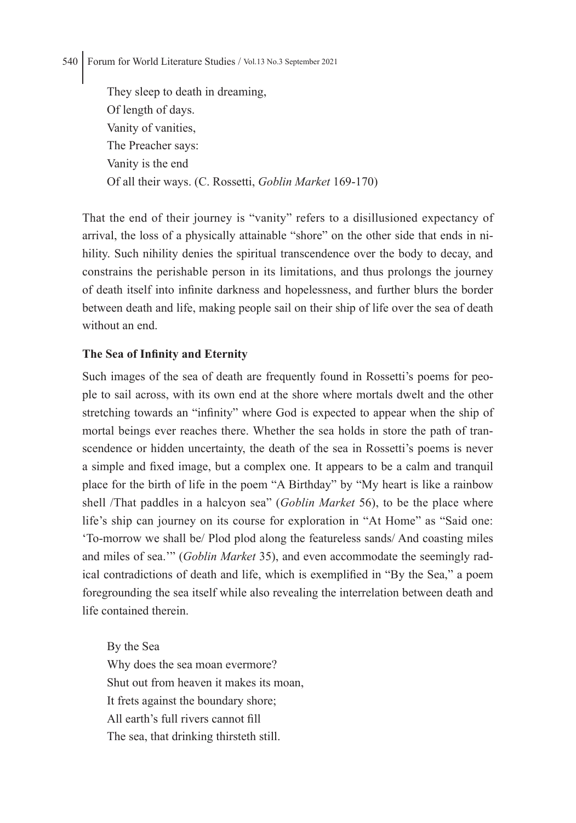They sleep to death in dreaming, Of length of days. Vanity of vanities, The Preacher says: Vanity is the end Of all their ways. (C. Rossetti, *Goblin Market* 169-170)

That the end of their journey is "vanity" refers to a disillusioned expectancy of arrival, the loss of a physically attainable "shore" on the other side that ends in nihility. Such nihility denies the spiritual transcendence over the body to decay, and constrains the perishable person in its limitations, and thus prolongs the journey of death itself into infinite darkness and hopelessness, and further blurs the border between death and life, making people sail on their ship of life over the sea of death without an end.

# **The Sea of Infinity and Eternity**

Such images of the sea of death are frequently found in Rossetti's poems for people to sail across, with its own end at the shore where mortals dwelt and the other stretching towards an "infinity" where God is expected to appear when the ship of mortal beings ever reaches there. Whether the sea holds in store the path of transcendence or hidden uncertainty, the death of the sea in Rossetti's poems is never a simple and fixed image, but a complex one. It appears to be a calm and tranquil place for the birth of life in the poem "A Birthday" by "My heart is like a rainbow shell /That paddles in a halcyon sea" (*Goblin Market* 56), to be the place where life's ship can journey on its course for exploration in "At Home" as "Said one: 'To-morrow we shall be/ Plod plod along the featureless sands/ And coasting miles and miles of sea.'" (*Goblin Market* 35), and even accommodate the seemingly radical contradictions of death and life, which is exemplified in "By the Sea," a poem foregrounding the sea itself while also revealing the interrelation between death and life contained therein.

By the Sea Why does the sea moan evermore? Shut out from heaven it makes its moan, It frets against the boundary shore; All earth's full rivers cannot fill The sea, that drinking thirsteth still.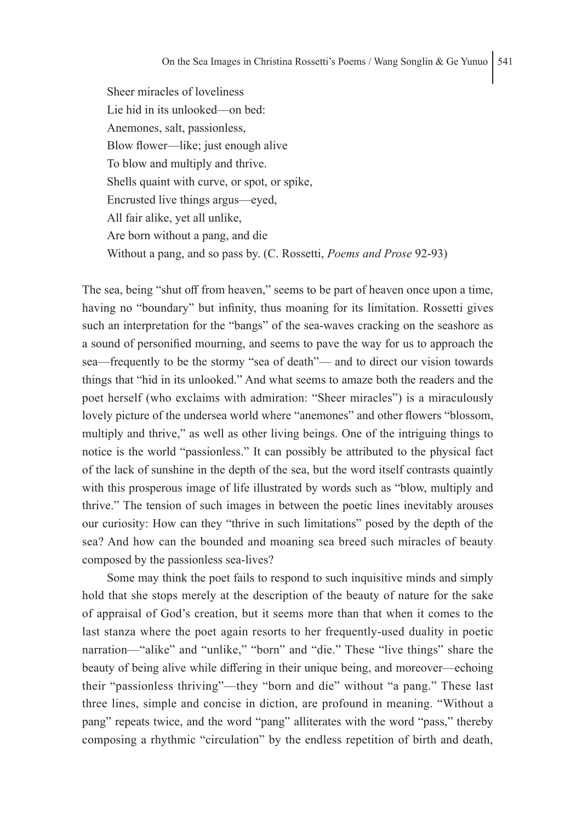Sheer miracles of loveliness Lie hid in its unlooked—on bed: Anemones, salt, passionless, Blow flower—like; just enough alive To blow and multiply and thrive. Shells quaint with curve, or spot, or spike, Encrusted live things argus—eyed, All fair alike, yet all unlike, Are born without a pang, and die Without a pang, and so pass by. (C. Rossetti, *Poems and Prose* 92-93)

The sea, being "shut off from heaven," seems to be part of heaven once upon a time, having no "boundary" but infinity, thus moaning for its limitation. Rossetti gives such an interpretation for the "bangs" of the sea-waves cracking on the seashore as a sound of personified mourning, and seems to pave the way for us to approach the sea—frequently to be the stormy "sea of death"— and to direct our vision towards things that "hid in its unlooked." And what seems to amaze both the readers and the poet herself (who exclaims with admiration: "Sheer miracles") is a miraculously lovely picture of the undersea world where "anemones" and other flowers "blossom, multiply and thrive," as well as other living beings. One of the intriguing things to notice is the world "passionless." It can possibly be attributed to the physical fact of the lack of sunshine in the depth of the sea, but the word itself contrasts quaintly with this prosperous image of life illustrated by words such as "blow, multiply and thrive." The tension of such images in between the poetic lines inevitably arouses our curiosity: How can they "thrive in such limitations" posed by the depth of the sea? And how can the bounded and moaning sea breed such miracles of beauty composed by the passionless sea-lives?

Some may think the poet fails to respond to such inquisitive minds and simply hold that she stops merely at the description of the beauty of nature for the sake of appraisal of God's creation, but it seems more than that when it comes to the last stanza where the poet again resorts to her frequently-used duality in poetic narration—"alike" and "unlike," "born" and "die." These "live things" share the beauty of being alive while differing in their unique being, and moreover—echoing their "passionless thriving"—they "born and die" without "a pang." These last three lines, simple and concise in diction, are profound in meaning. "Without a pang" repeats twice, and the word "pang" alliterates with the word "pass," thereby composing a rhythmic "circulation" by the endless repetition of birth and death,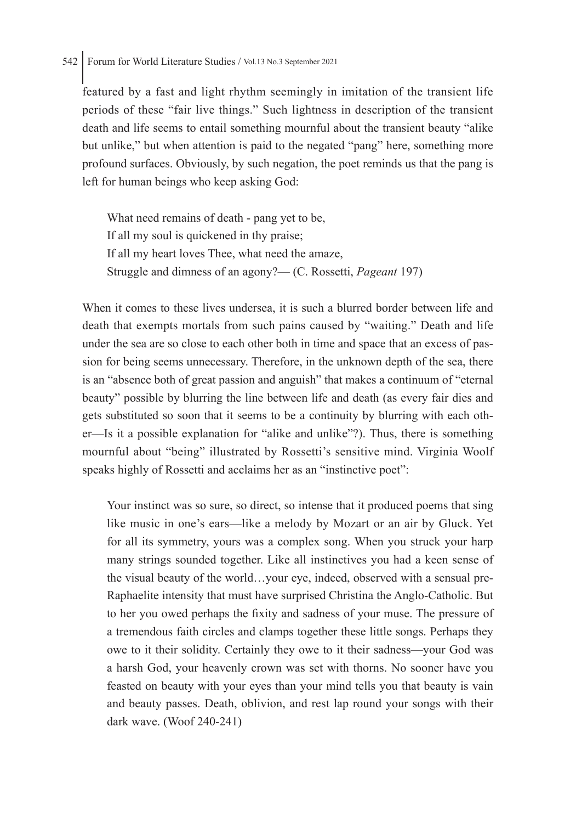featured by a fast and light rhythm seemingly in imitation of the transient life periods of these "fair live things." Such lightness in description of the transient death and life seems to entail something mournful about the transient beauty "alike but unlike," but when attention is paid to the negated "pang" here, something more profound surfaces. Obviously, by such negation, the poet reminds us that the pang is left for human beings who keep asking God:

What need remains of death - pang yet to be, If all my soul is quickened in thy praise; If all my heart loves Thee, what need the amaze, Struggle and dimness of an agony?— (C. Rossetti, *Pageant* 197)

When it comes to these lives undersea, it is such a blurred border between life and death that exempts mortals from such pains caused by "waiting." Death and life under the sea are so close to each other both in time and space that an excess of passion for being seems unnecessary. Therefore, in the unknown depth of the sea, there is an "absence both of great passion and anguish" that makes a continuum of "eternal beauty" possible by blurring the line between life and death (as every fair dies and gets substituted so soon that it seems to be a continuity by blurring with each other—Is it a possible explanation for "alike and unlike"?). Thus, there is something mournful about "being" illustrated by Rossetti's sensitive mind. Virginia Woolf speaks highly of Rossetti and acclaims her as an "instinctive poet":

Your instinct was so sure, so direct, so intense that it produced poems that sing like music in one's ears—like a melody by Mozart or an air by Gluck. Yet for all its symmetry, yours was a complex song. When you struck your harp many strings sounded together. Like all instinctives you had a keen sense of the visual beauty of the world…your eye, indeed, observed with a sensual pre-Raphaelite intensity that must have surprised Christina the Anglo-Catholic. But to her you owed perhaps the fixity and sadness of your muse. The pressure of a tremendous faith circles and clamps together these little songs. Perhaps they owe to it their solidity. Certainly they owe to it their sadness—your God was a harsh God, your heavenly crown was set with thorns. No sooner have you feasted on beauty with your eyes than your mind tells you that beauty is vain and beauty passes. Death, oblivion, and rest lap round your songs with their dark wave. (Woof 240-241)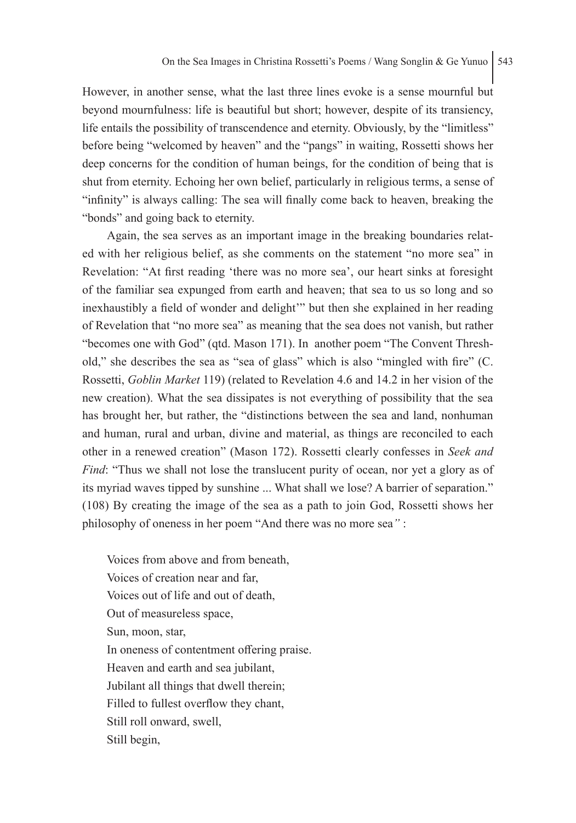However, in another sense, what the last three lines evoke is a sense mournful but beyond mournfulness: life is beautiful but short; however, despite of its transiency, life entails the possibility of transcendence and eternity. Obviously, by the "limitless" before being "welcomed by heaven" and the "pangs" in waiting, Rossetti shows her deep concerns for the condition of human beings, for the condition of being that is shut from eternity. Echoing her own belief, particularly in religious terms, a sense of "infinity" is always calling: The sea will finally come back to heaven, breaking the "bonds" and going back to eternity.

Again, the sea serves as an important image in the breaking boundaries related with her religious belief, as she comments on the statement "no more sea" in Revelation: "At first reading 'there was no more sea', our heart sinks at foresight of the familiar sea expunged from earth and heaven; that sea to us so long and so inexhaustibly a field of wonder and delight'" but then she explained in her reading of Revelation that "no more sea" as meaning that the sea does not vanish, but rather "becomes one with God" (qtd. Mason 171). In another poem "The Convent Threshold," she describes the sea as "sea of glass" which is also "mingled with fire" (C. Rossetti, *Goblin Market* 119) (related to Revelation 4.6 and 14.2 in her vision of the new creation). What the sea dissipates is not everything of possibility that the sea has brought her, but rather, the "distinctions between the sea and land, nonhuman and human, rural and urban, divine and material, as things are reconciled to each other in a renewed creation" (Mason 172). Rossetti clearly confesses in *Seek and Find*: "Thus we shall not lose the translucent purity of ocean, nor yet a glory as of its myriad waves tipped by sunshine ... What shall we lose? A barrier of separation." (108) By creating the image of the sea as a path to join God, Rossetti shows her philosophy of oneness in her poem "And there was no more sea*"* :

Voices from above and from beneath, Voices of creation near and far, Voices out of life and out of death, Out of measureless space, Sun, moon, star, In oneness of contentment offering praise. Heaven and earth and sea jubilant, Jubilant all things that dwell therein; Filled to fullest overflow they chant, Still roll onward, swell, Still begin,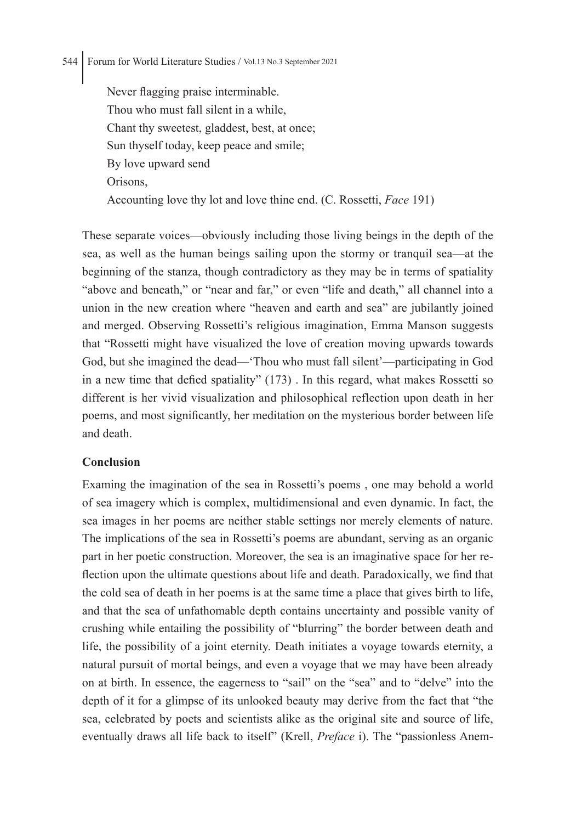Never flagging praise interminable. Thou who must fall silent in a while, Chant thy sweetest, gladdest, best, at once; Sun thyself today, keep peace and smile; By love upward send Orisons, Accounting love thy lot and love thine end. (C. Rossetti, *Face* 191)

These separate voices—obviously including those living beings in the depth of the sea, as well as the human beings sailing upon the stormy or tranquil sea—at the beginning of the stanza, though contradictory as they may be in terms of spatiality "above and beneath," or "near and far," or even "life and death," all channel into a union in the new creation where "heaven and earth and sea" are jubilantly joined and merged. Observing Rossetti's religious imagination, Emma Manson suggests that "Rossetti might have visualized the love of creation moving upwards towards God, but she imagined the dead—'Thou who must fall silent'—participating in God in a new time that defied spatiality" (173) . In this regard, what makes Rossetti so different is her vivid visualization and philosophical reflection upon death in her poems, and most significantly, her meditation on the mysterious border between life and death.

## **Conclusion**

Examing the imagination of the sea in Rossetti's poems , one may behold a world of sea imagery which is complex, multidimensional and even dynamic. In fact, the sea images in her poems are neither stable settings nor merely elements of nature. The implications of the sea in Rossetti's poems are abundant, serving as an organic part in her poetic construction. Moreover, the sea is an imaginative space for her reflection upon the ultimate questions about life and death. Paradoxically, we find that the cold sea of death in her poems is at the same time a place that gives birth to life, and that the sea of unfathomable depth contains uncertainty and possible vanity of crushing while entailing the possibility of "blurring" the border between death and life, the possibility of a joint eternity. Death initiates a voyage towards eternity, a natural pursuit of mortal beings, and even a voyage that we may have been already on at birth. In essence, the eagerness to "sail" on the "sea" and to "delve" into the depth of it for a glimpse of its unlooked beauty may derive from the fact that "the sea, celebrated by poets and scientists alike as the original site and source of life, eventually draws all life back to itself" (Krell, *Preface* i). The "passionless Anem